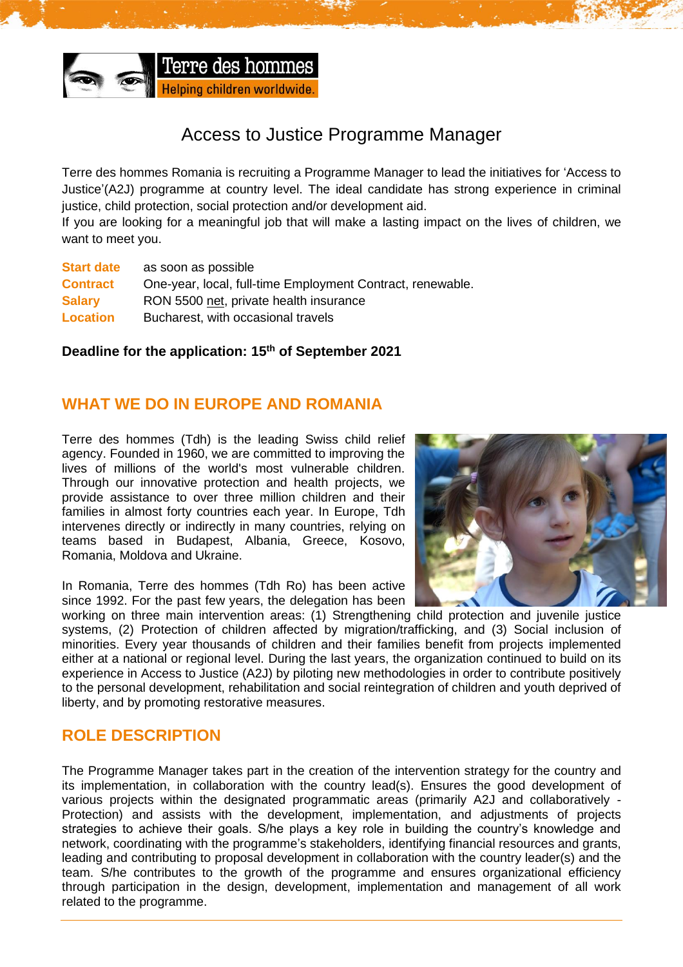

# Access to Justice Programme Manager

Terre des hommes Romania is recruiting a Programme Manager to lead the initiatives for 'Access to Justice'(A2J) programme at country level. The ideal candidate has strong experience in criminal justice, child protection, social protection and/or development aid.

If you are looking for a meaningful job that will make a lasting impact on the lives of children, we want to meet you.

| <b>Start date</b> | as soon as possible                                        |
|-------------------|------------------------------------------------------------|
| <b>Contract</b>   | One-year, local, full-time Employment Contract, renewable. |
| <b>Salary</b>     | RON 5500 net, private health insurance                     |
| Location          | Bucharest, with occasional travels                         |

### **Deadline for the application: 15 th of September 2021**

### **WHAT WE DO IN EUROPE AND ROMANIA**

Terre des hommes (Tdh) is the leading Swiss child relief agency. Founded in 1960, we are committed to improving the lives of millions of the world's most vulnerable children. Through our innovative protection and health projects, we provide assistance to over three million children and their families in almost forty countries each year. In Europe, Tdh intervenes directly or indirectly in many countries, relying on teams based in Budapest, Albania, Greece, Kosovo, Romania, Moldova and Ukraine.

In Romania, Terre des hommes (Tdh Ro) has been active since 1992. For the past few years, the delegation has been



working on three main intervention areas: (1) Strengthening child protection and iuvenile iustice systems, (2) Protection of children affected by migration/trafficking, and (3) Social inclusion of minorities. Every year thousands of children and their families benefit from projects implemented either at a national or regional level. During the last years, the organization continued to build on its experience in Access to Justice (A2J) by piloting new methodologies in order to contribute positively to the personal development, rehabilitation and social reintegration of children and youth deprived of liberty, and by promoting restorative measures.

## **ROLE DESCRIPTION**

The Programme Manager takes part in the creation of the intervention strategy for the country and its implementation, in collaboration with the country lead(s). Ensures the good development of various projects within the designated programmatic areas (primarily A2J and collaboratively - Protection) and assists with the development, implementation, and adjustments of projects strategies to achieve their goals. S/he plays a key role in building the country's knowledge and network, coordinating with the programme's stakeholders, identifying financial resources and grants, leading and contributing to proposal development in collaboration with the country leader(s) and the team. S/he contributes to the growth of the programme and ensures organizational efficiency through participation in the design, development, implementation and management of all work related to the programme.